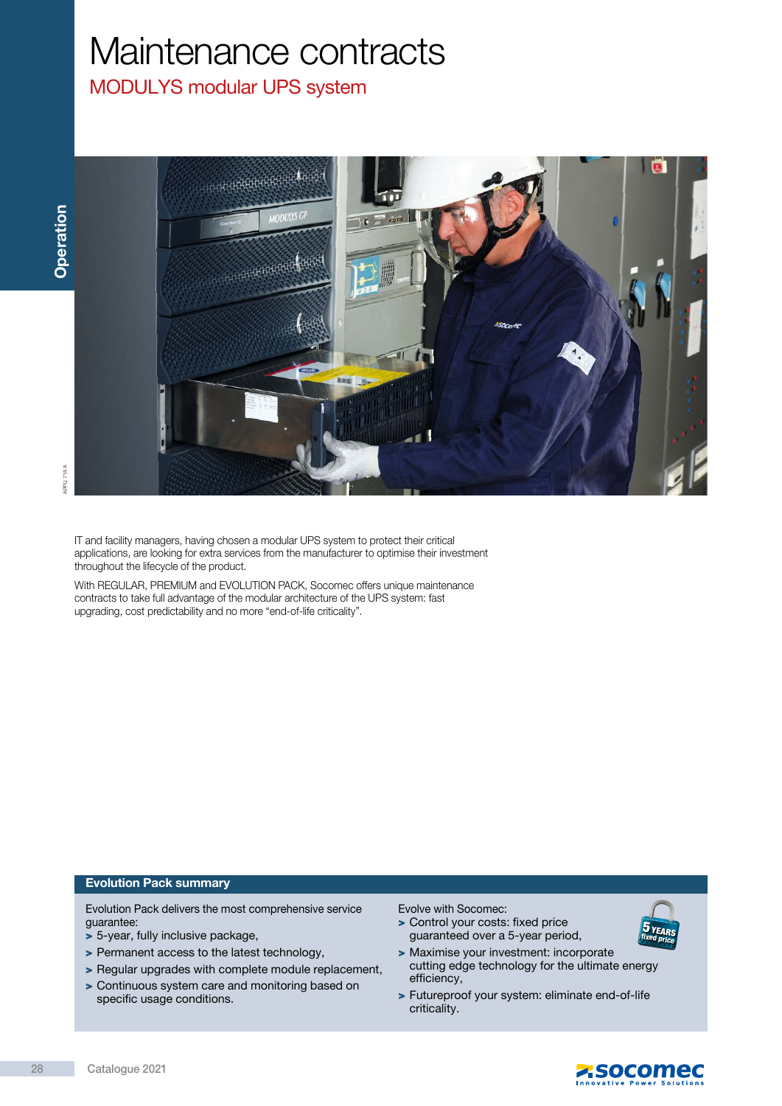# Maintenance contracts

## MODULYS modular UPS system



IT and facility managers, having chosen a modular UPS system to protect their critical applications, are looking for extra services from the manufacturer to optimise their investment throughout the lifecycle of the product.

With REGULAR, PREMIUM and EVOLUTION PACK, Socomec offers unique maintenance contracts to take full advantage of the modular architecture of the UPS system: fast upgrading, cost predictability and no more "end-of-life criticality".

#### Evolution Pack summary

Evolution Pack delivers the most comprehensive service guarantee:

- > 5-year, fully inclusive package,
- > Permanent access to the latest technology,
- > Regular upgrades with complete module replacement,
- > Continuous system care and monitoring based on specific usage conditions.

Evolve with Socomec:

- > Control your costs: fixed price guaranteed over a 5-year period,
- > Maximise your investment: incorporate cutting edge technology for the ultimate energy efficiency,
- > Futureproof your system: eliminate end-of-life criticality.



**ZSOCOMEC**